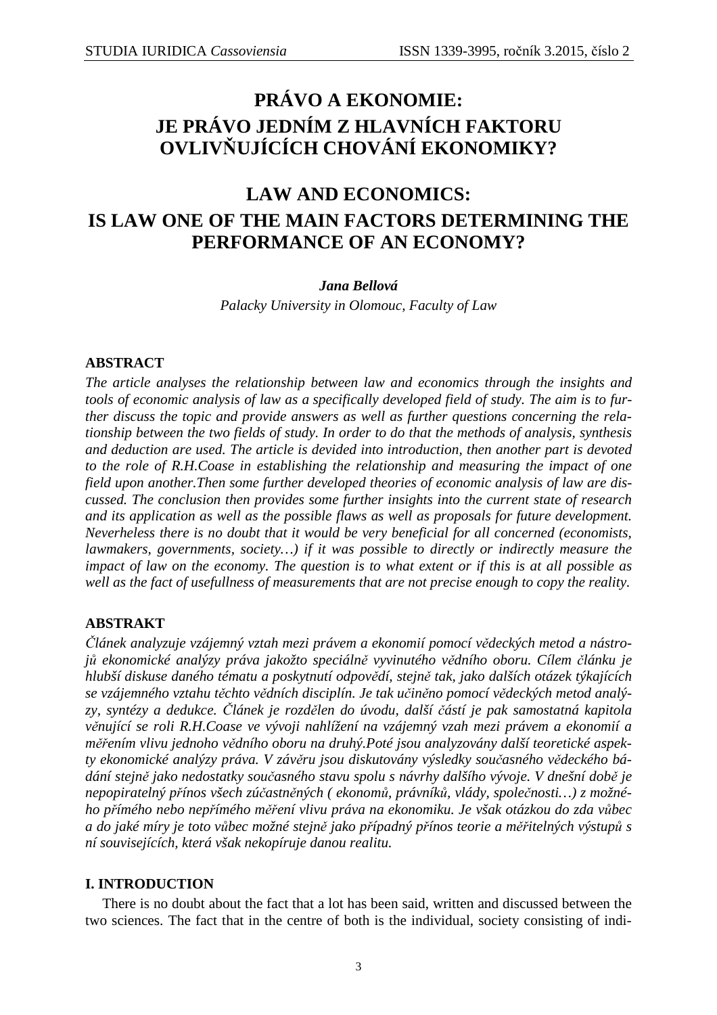# **PRÁVO A EKONOMIE: JE PRÁVO JEDNÍM Z HLAVNÍCH FAKTORU OVLIVŇUJÍCÍCH CHOVÁNÍ EKONOMIKY?**

# **LAW AND ECONOMICS: IS LAW ONE OF THE MAIN FACTORS DETERMINING THE PERFORMANCE OF AN ECONOMY?**

# *Jana Bellová*

*Palacky University in Olomouc, Faculty of Law* 

# **ABSTRACT**

*The article analyses the relationship between law and economics through the insights and tools of economic analysis of law as a specifically developed field of study. The aim is to further discuss the topic and provide answers as well as further questions concerning the relationship between the two fields of study. In order to do that the methods of analysis, synthesis and deduction are used. The article is devided into introduction, then another part is devoted to the role of R.H.Coase in establishing the relationship and measuring the impact of one field upon another.Then some further developed theories of economic analysis of law are discussed. The conclusion then provides some further insights into the current state of research and its application as well as the possible flaws as well as proposals for future development. Neverheless there is no doubt that it would be very beneficial for all concerned (economists, lawmakers, governments, society…) if it was possible to directly or indirectly measure the impact of law on the economy. The question is to what extent or if this is at all possible as well as the fact of usefullness of measurements that are not precise enough to copy the reality.* 

# **ABSTRAKT**

*Článek analyzuje vzájemný vztah mezi právem a ekonomií pomocí vědeckých metod a nástrojů ekonomické analýzy práva jakožto speciálně vyvinutého vědního oboru. Cílem článku je hlubší diskuse daného tématu a poskytnutí odpovědí, stejně tak, jako dalších otázek týkajících se vzájemného vztahu těchto vědních disciplín. Je tak učiněno pomocí vědeckých metod analýzy, syntézy a dedukce. Článek je rozdělen do úvodu, další částí je pak samostatná kapitola věnující se roli R.H.Coase ve vývoji nahlížení na vzájemný vzah mezi právem a ekonomií a měřením vlivu jednoho vědního oboru na druhý.Poté jsou analyzovány další teoretické aspekty ekonomické analýzy práva. V závěru jsou diskutovány výsledky současného vědeckého bádání stejně jako nedostatky současného stavu spolu s návrhy dalšího vývoje. V dnešní době je nepopiratelný přínos všech zúčastněných ( ekonomů, právníků, vlády, společnosti…) z možného přímého nebo nepřímého měření vlivu práva na ekonomiku. Je však otázkou do zda vůbec a do jaké míry je toto vůbec možné stejně jako případný přínos teorie a měřitelných výstupů s ní souvisejících, která však nekopíruje danou realitu.* 

# **I. INTRODUCTION**

 There is no doubt about the fact that a lot has been said, written and discussed between the two sciences. The fact that in the centre of both is the individual, society consisting of indi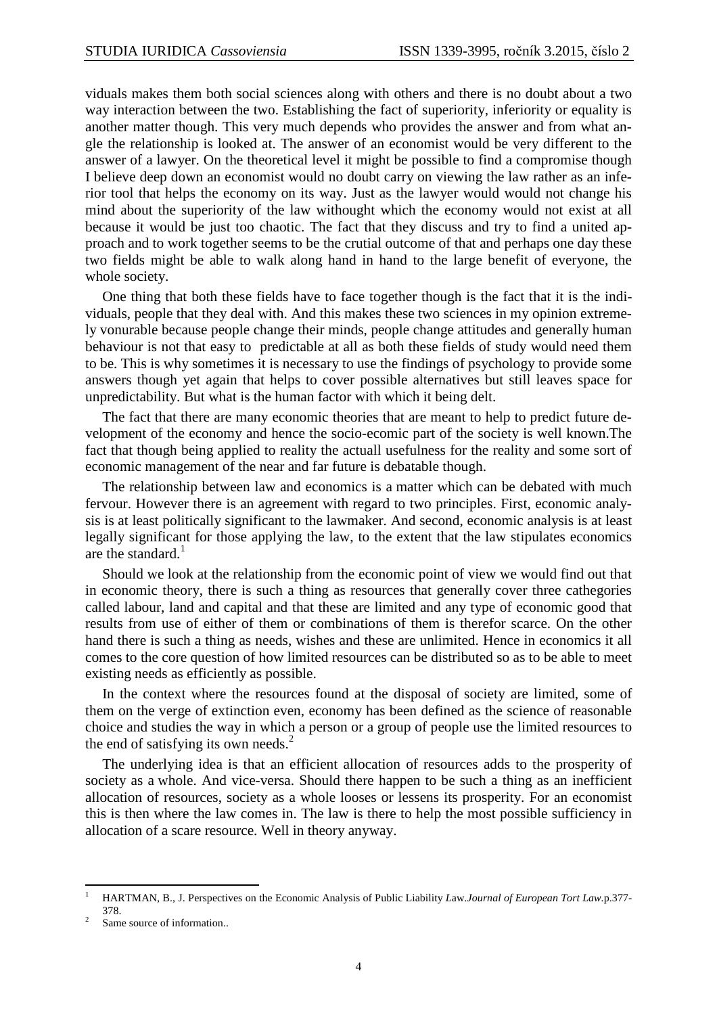viduals makes them both social sciences along with others and there is no doubt about a two way interaction between the two. Establishing the fact of superiority, inferiority or equality is another matter though. This very much depends who provides the answer and from what angle the relationship is looked at. The answer of an economist would be very different to the answer of a lawyer. On the theoretical level it might be possible to find a compromise though I believe deep down an economist would no doubt carry on viewing the law rather as an inferior tool that helps the economy on its way. Just as the lawyer would would not change his mind about the superiority of the law withought which the economy would not exist at all because it would be just too chaotic. The fact that they discuss and try to find a united approach and to work together seems to be the crutial outcome of that and perhaps one day these two fields might be able to walk along hand in hand to the large benefit of everyone, the whole society.

 One thing that both these fields have to face together though is the fact that it is the individuals, people that they deal with. And this makes these two sciences in my opinion extremely vonurable because people change their minds, people change attitudes and generally human behaviour is not that easy to predictable at all as both these fields of study would need them to be. This is why sometimes it is necessary to use the findings of psychology to provide some answers though yet again that helps to cover possible alternatives but still leaves space for unpredictability. But what is the human factor with which it being delt.

 The fact that there are many economic theories that are meant to help to predict future development of the economy and hence the socio-ecomic part of the society is well known.The fact that though being applied to reality the actuall usefulness for the reality and some sort of economic management of the near and far future is debatable though.

 The relationship between law and economics is a matter which can be debated with much fervour. However there is an agreement with regard to two principles. First, economic analysis is at least politically significant to the lawmaker. And second, economic analysis is at least legally significant for those applying the law, to the extent that the law stipulates economics are the standard. $<sup>1</sup>$ </sup>

 Should we look at the relationship from the economic point of view we would find out that in economic theory, there is such a thing as resources that generally cover three cathegories called labour, land and capital and that these are limited and any type of economic good that results from use of either of them or combinations of them is therefor scarce. On the other hand there is such a thing as needs, wishes and these are unlimited. Hence in economics it all comes to the core question of how limited resources can be distributed so as to be able to meet existing needs as efficiently as possible.

 In the context where the resources found at the disposal of society are limited, some of them on the verge of extinction even, economy has been defined as the science of reasonable choice and studies the way in which a person or a group of people use the limited resources to the end of satisfying its own needs.<sup>2</sup>

 The underlying idea is that an efficient allocation of resources adds to the prosperity of society as a whole. And vice-versa. Should there happen to be such a thing as an inefficient allocation of resources, society as a whole looses or lessens its prosperity. For an economist this is then where the law comes in. The law is there to help the most possible sufficiency in allocation of a scare resource. Well in theory anyway.

 $\overline{a}$ 1 HARTMAN, B., J. Perspectives on the Economic Analysis of Public Liability *L*aw.*Journal of European Tort Law.*p.377- 378.

<sup>2</sup> Same source of information..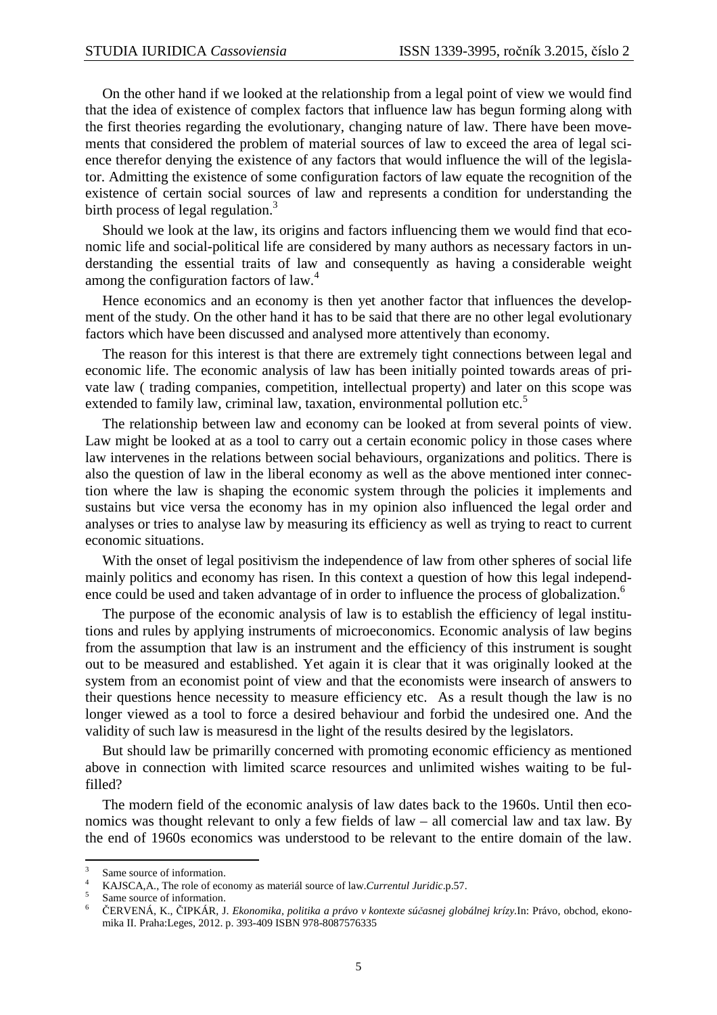On the other hand if we looked at the relationship from a legal point of view we would find that the idea of existence of complex factors that influence law has begun forming along with the first theories regarding the evolutionary, changing nature of law. There have been movements that considered the problem of material sources of law to exceed the area of legal science therefor denying the existence of any factors that would influence the will of the legislator. Admitting the existence of some configuration factors of law equate the recognition of the existence of certain social sources of law and represents a condition for understanding the birth process of legal regulation.<sup>3</sup>

 Should we look at the law, its origins and factors influencing them we would find that economic life and social-political life are considered by many authors as necessary factors in understanding the essential traits of law and consequently as having a considerable weight among the configuration factors of law.<sup>4</sup>

 Hence economics and an economy is then yet another factor that influences the development of the study. On the other hand it has to be said that there are no other legal evolutionary factors which have been discussed and analysed more attentively than economy.

 The reason for this interest is that there are extremely tight connections between legal and economic life. The economic analysis of law has been initially pointed towards areas of private law ( trading companies, competition, intellectual property) and later on this scope was extended to family law, criminal law, taxation, environmental pollution etc.<sup>5</sup>

 The relationship between law and economy can be looked at from several points of view. Law might be looked at as a tool to carry out a certain economic policy in those cases where law intervenes in the relations between social behaviours, organizations and politics. There is also the question of law in the liberal economy as well as the above mentioned inter connection where the law is shaping the economic system through the policies it implements and sustains but vice versa the economy has in my opinion also influenced the legal order and analyses or tries to analyse law by measuring its efficiency as well as trying to react to current economic situations.

 With the onset of legal positivism the independence of law from other spheres of social life mainly politics and economy has risen. In this context a question of how this legal independence could be used and taken advantage of in order to influence the process of globalization.<sup>6</sup>

 The purpose of the economic analysis of law is to establish the efficiency of legal institutions and rules by applying instruments of microeconomics. Economic analysis of law begins from the assumption that law is an instrument and the efficiency of this instrument is sought out to be measured and established. Yet again it is clear that it was originally looked at the system from an economist point of view and that the economists were insearch of answers to their questions hence necessity to measure efficiency etc. As a result though the law is no longer viewed as a tool to force a desired behaviour and forbid the undesired one. And the validity of such law is measuresd in the light of the results desired by the legislators.

 But should law be primarilly concerned with promoting economic efficiency as mentioned above in connection with limited scarce resources and unlimited wishes waiting to be fulfilled?

 The modern field of the economic analysis of law dates back to the 1960s. Until then economics was thought relevant to only a few fields of law – all comercial law and tax law. By the end of 1960s economics was understood to be relevant to the entire domain of the law.

 $\overline{a}$ 

<sup>3</sup> Same source of information.

<sup>4</sup> KAJSCA,A., The role of economy as materiál source of law.*Currentul Juridic*.p.57. 5

Same source of information.

<sup>6</sup> ČERVENÁ, K., ČIPKÁR, J. *Ekonomika, politika a právo v kontexte súčasnej globálnej krízy.*In: Právo, obchod, ekonomika II. Praha:Leges, 2012. p. 393-409 ISBN 978-8087576335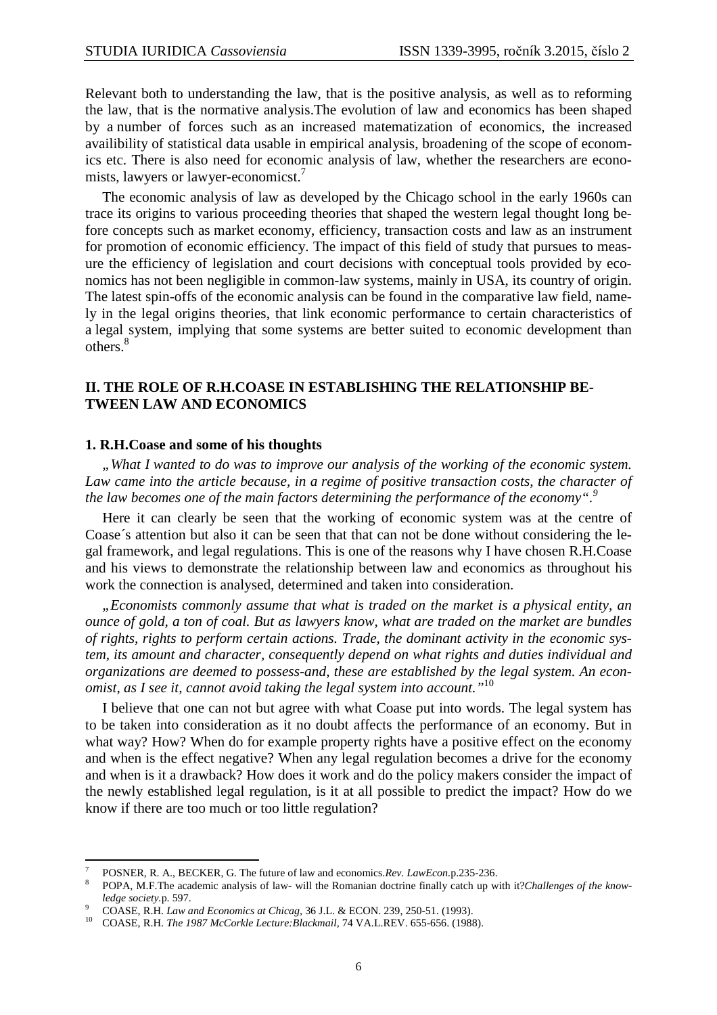Relevant both to understanding the law, that is the positive analysis, as well as to reforming the law, that is the normative analysis.The evolution of law and economics has been shaped by a number of forces such as an increased matematization of economics, the increased availibility of statistical data usable in empirical analysis, broadening of the scope of economics etc. There is also need for economic analysis of law, whether the researchers are economists, lawyers or lawyer-economicst.<sup>7</sup>

 The economic analysis of law as developed by the Chicago school in the early 1960s can trace its origins to various proceeding theories that shaped the western legal thought long before concepts such as market economy, efficiency, transaction costs and law as an instrument for promotion of economic efficiency. The impact of this field of study that pursues to measure the efficiency of legislation and court decisions with conceptual tools provided by economics has not been negligible in common-law systems, mainly in USA, its country of origin. The latest spin-offs of the economic analysis can be found in the comparative law field, namely in the legal origins theories, that link economic performance to certain characteristics of a legal system, implying that some systems are better suited to economic development than others.<sup>8</sup>

### **II. THE ROLE OF R.H.COASE IN ESTABLISHING THE RELATIONSHIP BE-TWEEN LAW AND ECONOMICS**

### **1. R.H.Coase and some of his thoughts**

 $\overline{a}$ 

 *"What I wanted to do was to improve our analysis of the working of the economic system. Law came into the article because, in a regime of positive transaction costs, the character of the law becomes one of the main factors determining the performance of the economy".<sup>9</sup>*

 Here it can clearly be seen that the working of economic system was at the centre of Coase´s attention but also it can be seen that that can not be done without considering the legal framework, and legal regulations. This is one of the reasons why I have chosen R.H.Coase and his views to demonstrate the relationship between law and economics as throughout his work the connection is analysed, determined and taken into consideration.

 *"Economists commonly assume that what is traded on the market is a physical entity, an ounce of gold, a ton of coal. But as lawyers know, what are traded on the market are bundles of rights, rights to perform certain actions. Trade, the dominant activity in the economic system, its amount and character, consequently depend on what rights and duties individual and organizations are deemed to possess-and, these are established by the legal system. An economist, as I see it, cannot avoid taking the legal system into account."*<sup>10</sup>

 I believe that one can not but agree with what Coase put into words. The legal system has to be taken into consideration as it no doubt affects the performance of an economy. But in what way? How? When do for example property rights have a positive effect on the economy and when is the effect negative? When any legal regulation becomes a drive for the economy and when is it a drawback? How does it work and do the policy makers consider the impact of the newly established legal regulation, is it at all possible to predict the impact? How do we know if there are too much or too little regulation?

<sup>7</sup> POSNER, R. A., BECKER, G. The future of law and economics.*Rev. LawEcon.*p.235-236.

<sup>8</sup> POPA, M.F.The academic analysis of law*-* will the Romanian doctrine finally catch up with it?*Challenges of the knowledge society.*p. 597.

<sup>9</sup> COASE, R.H. *Law and Economics at Chicag,* 36 J.L. & ECON. 239, 250-51. (1993).

<sup>10</sup> COASE, R.H. *The 1987 McCorkle Lecture:Blackmail,* 74 VA.L.REV. 655-656. (1988).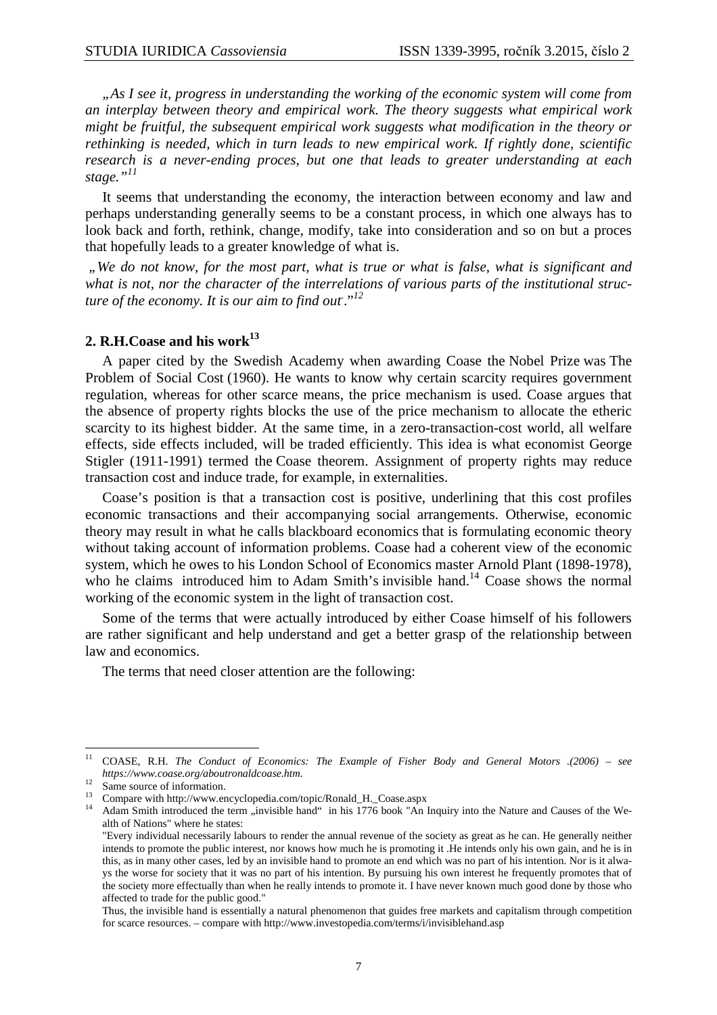*"As I see it, progress in understanding the working of the economic system will come from an interplay between theory and empirical work. The theory suggests what empirical work might be fruitful, the subsequent empirical work suggests what modification in the theory or rethinking is needed, which in turn leads to new empirical work. If rightly done, scientific research is a never-ending proces, but one that leads to greater understanding at each stage."<sup>11</sup>*

 It seems that understanding the economy, the interaction between economy and law and perhaps understanding generally seems to be a constant process, in which one always has to look back and forth, rethink, change, modify, take into consideration and so on but a proces that hopefully leads to a greater knowledge of what is.

*"We do not know, for the most part, what is true or what is false, what is significant and what is not, nor the character of the interrelations of various parts of the institutional structure of the economy. It is our aim to find out*. ."*<sup>12</sup>*

# **2. R.H.Coase and his work<sup>13</sup>**

 A paper cited by the Swedish Academy when awarding Coase the Nobel Prize was The Problem of Social Cost (1960). He wants to know why certain scarcity requires government regulation, whereas for other scarce means, the price mechanism is used. Coase argues that the absence of property rights blocks the use of the price mechanism to allocate the etheric scarcity to its highest bidder. At the same time, in a zero-transaction-cost world, all welfare effects, side effects included, will be traded efficiently. This idea is what economist George Stigler (1911-1991) termed the Coase theorem. Assignment of property rights may reduce transaction cost and induce trade, for example, in externalities.

 Coase's position is that a transaction cost is positive, underlining that this cost profiles economic transactions and their accompanying social arrangements. Otherwise, economic theory may result in what he calls blackboard economics that is formulating economic theory without taking account of information problems. Coase had a coherent view of the economic system, which he owes to his London School of Economics master Arnold Plant (1898-1978), who he claims introduced him to Adam Smith's invisible hand.<sup>14</sup> Coase shows the normal working of the economic system in the light of transaction cost.

 Some of the terms that were actually introduced by either Coase himself of his followers are rather significant and help understand and get a better grasp of the relationship between law and economics.

The terms that need closer attention are the following:

 $11 -$ <sup>11</sup> COASE, R.H. *The Conduct of Economics: The Example of Fisher Body and General Motors .(2006) – see https://www.coase.org/aboutronaldcoase.htm.*

<sup>&</sup>lt;sup>12</sup> Same source of information.

<sup>&</sup>lt;sup>13</sup> Compare with http://www.encyclopedia.com/topic/Ronald\_H.\_Coase.aspx

 $14$  Adam Smith introduced the term "invisible hand" in his  $1776$  book "An Inquiry into the Nature and Causes of the Wealth of Nations" where he states:

<sup>&</sup>quot;Every individual necessarily labours to render the annual revenue of the society as great as he can. He generally neither intends to promote the public interest, nor knows how much he is promoting it .He intends only his own gain, and he is in this, as in many other cases, led by an invisible hand to promote an end which was no part of his intention. Nor is it always the worse for society that it was no part of his intention. By pursuing his own interest he frequently promotes that of the society more effectually than when he really intends to promote it. I have never known much good done by those who affected to trade for the public good."

Thus, the invisible hand is essentially a natural phenomenon that guides free markets and capitalism through competition for scarce resources. – compare with http://www.investopedia.com/terms/i/invisiblehand.asp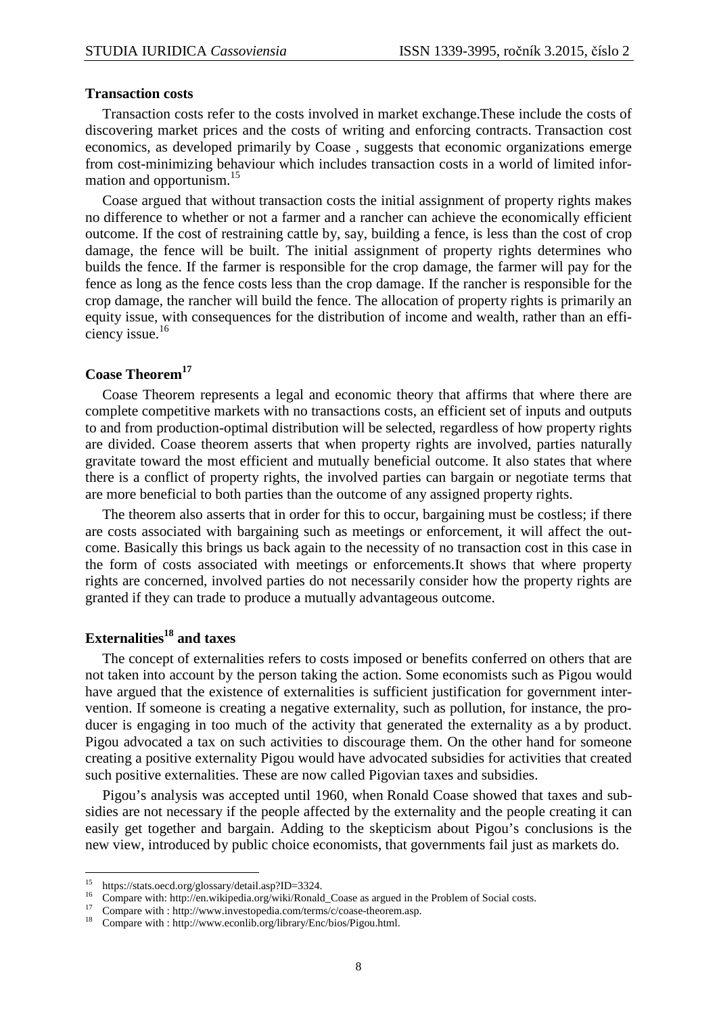### **Transaction costs**

 Transaction costs refer to the costs involved in market exchange.These include the costs of discovering market prices and the costs of writing and enforcing contracts. Transaction cost economics, as developed primarily by Coase , suggests that economic organizations emerge from cost-minimizing behaviour which includes transaction costs in a world of limited information and opportunism.<sup>15</sup>

 Coase argued that without transaction costs the initial assignment of property rights makes no difference to whether or not a farmer and a rancher can achieve the economically efficient outcome. If the cost of restraining cattle by, say, building a fence, is less than the cost of crop damage, the fence will be built. The initial assignment of property rights determines who builds the fence. If the farmer is responsible for the crop damage, the farmer will pay for the fence as long as the fence costs less than the crop damage. If the rancher is responsible for the crop damage, the rancher will build the fence. The allocation of property rights is primarily an equity issue, with consequences for the distribution of income and wealth, rather than an efficiency issue.<sup>16</sup>

# **Coase Theorem<sup>17</sup>**

 Coase Theorem represents a legal and economic theory that affirms that where there are complete competitive markets with no transactions costs, an efficient set of inputs and outputs to and from production-optimal distribution will be selected, regardless of how property rights are divided. Coase theorem asserts that when property rights are involved, parties naturally gravitate toward the most efficient and mutually beneficial outcome. It also states that where there is a conflict of property rights, the involved parties can bargain or negotiate terms that are more beneficial to both parties than the outcome of any assigned property rights.

 The theorem also asserts that in order for this to occur, bargaining must be costless; if there are costs associated with bargaining such as meetings or enforcement, it will affect the outcome. Basically this brings us back again to the necessity of no transaction cost in this case in the form of costs associated with meetings or enforcements.It shows that where property rights are concerned, involved parties do not necessarily consider how the property rights are granted if they can trade to produce a mutually advantageous outcome.

# **Externalities<sup>18</sup> and taxes**

 $\overline{a}$ 

 The concept of externalities refers to costs imposed or benefits conferred on others that are not taken into account by the person taking the action. Some economists such as Pigou would have argued that the existence of externalities is sufficient justification for government intervention. If someone is creating a negative externality, such as pollution, for instance, the producer is engaging in too much of the activity that generated the externality as a by product. Pigou advocated a tax on such activities to discourage them. On the other hand for someone creating a positive externality Pigou would have advocated subsidies for activities that created such positive externalities. These are now called Pigovian taxes and subsidies.

 Pigou's analysis was accepted until 1960, when Ronald Coase showed that taxes and subsidies are not necessary if the people affected by the externality and the people creating it can easily get together and bargain. Adding to the skepticism about Pigou's conclusions is the new view, introduced by public choice economists, that governments fail just as markets do.

<sup>15</sup> https://stats.oecd.org/glossary/detail.asp?ID=3324.

<sup>&</sup>lt;sup>16</sup> Compare with: http://en.wikipedia.org/wiki/Ronald\_Coase as argued in the Problem of Social costs.

Compare with : http://www.investopedia.com/terms/c/coase-theorem.asp.

<sup>&</sup>lt;sup>18</sup> Compare with : http://www.econlib.org/library/Enc/bios/Pigou.html.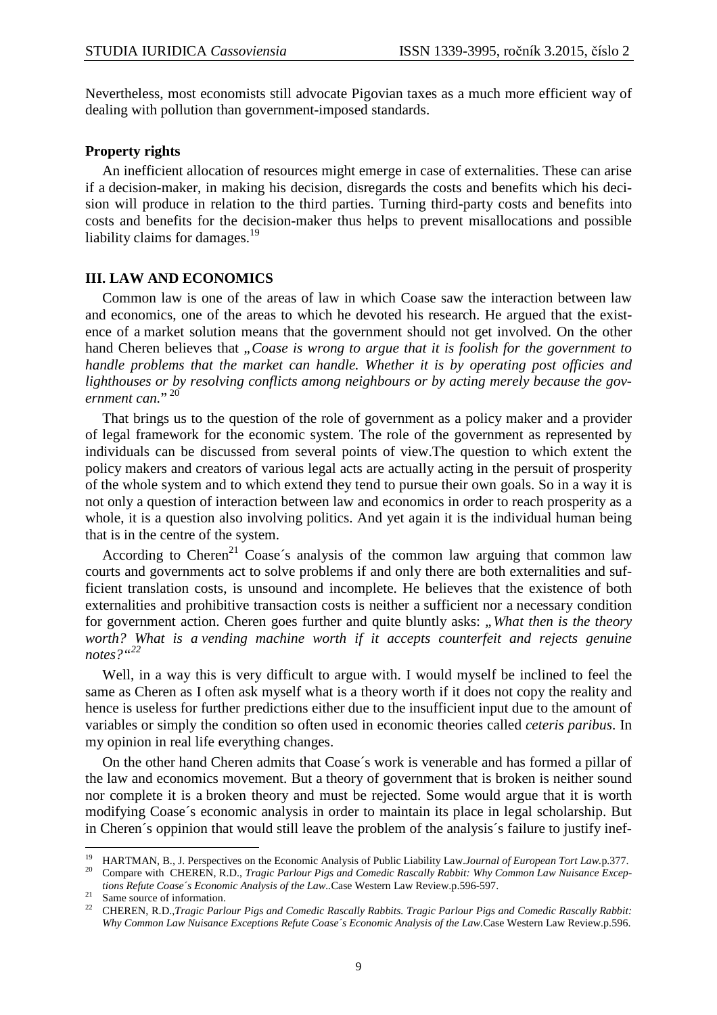Nevertheless, most economists still advocate Pigovian taxes as a much more efficient way of dealing with pollution than government-imposed standards.

### **Property rights**

An inefficient allocation of resources might emerge in case of externalities. These can arise if a decision-maker, in making his decision, disregards the costs and benefits which his decision will produce in relation to the third parties. Turning third-party costs and benefits into costs and benefits for the decision-maker thus helps to prevent misallocations and possible liability claims for damages.<sup>19</sup>

### **III. LAW AND ECONOMICS**

Common law is one of the areas of law in which Coase saw the interaction between law and economics, one of the areas to which he devoted his research. He argued that the existence of a market solution means that the government should not get involved. On the other hand Cheren believes that *"Coase is wrong to argue that it is foolish for the government to handle problems that the market can handle. Whether it is by operating post officies and lighthouses or by resolving conflicts among neighbours or by acting merely because the gov*ernment can."<sup>20</sup>

 That brings us to the question of the role of government as a policy maker and a provider of legal framework for the economic system. The role of the government as represented by individuals can be discussed from several points of view.The question to which extent the policy makers and creators of various legal acts are actually acting in the persuit of prosperity of the whole system and to which extend they tend to pursue their own goals. So in a way it is not only a question of interaction between law and economics in order to reach prosperity as a whole, it is a question also involving politics. And yet again it is the individual human being that is in the centre of the system.

According to Cheren<sup>21</sup> Coase's analysis of the common law arguing that common law courts and governments act to solve problems if and only there are both externalities and sufficient translation costs, is unsound and incomplete. He believes that the existence of both externalities and prohibitive transaction costs is neither a sufficient nor a necessary condition for government action. Cheren goes further and quite bluntly asks: "What then is the theory worth? What is a vending machine worth if it accepts counterfeit and rejects genuine *notes?"<sup>22</sup>*

 Well, in a way this is very difficult to argue with. I would myself be inclined to feel the same as Cheren as I often ask myself what is a theory worth if it does not copy the reality and hence is useless for further predictions either due to the insufficient input due to the amount of variables or simply the condition so often used in economic theories called *ceteris paribus*. In my opinion in real life everything changes.

On the other hand Cheren admits that Coase´s work is venerable and has formed a pillar of the law and economics movement. But a theory of government that is broken is neither sound nor complete it is a broken theory and must be rejected. Some would argue that it is worth modifying Coase´s economic analysis in order to maintain its place in legal scholarship. But in Cheren´s oppinion that would still leave the problem of the analysis´s failure to justify inef-

*tions Refute Coase´s Economic Analysis of the Law..*Case Western Law Review.p.596-597.

<sup>21</sup> Same source of information.

<sup>19</sup> <sup>19</sup> HARTMAN, B., J. Perspectives on the Economic Analysis of Public Liability Law.*Journal of European Tort Law.p.*377.<br><sup>20</sup> Compage with CUEDEN, B.D. Tracis Barlow Rise and Comedia Baseally Bakkity Why Compage Law Mujagu <sup>20</sup> Compare with CHEREN, R.D., *Tragic Parlour Pigs and Comedic Rascally Rabbit: Why Common Law Nuisance Excep-*

<sup>22</sup> CHEREN, R.D.,*Tragic Parlour Pigs and Comedic Rascally Rabbits. Tragic Parlour Pigs and Comedic Rascally Rabbit: Why Common Law Nuisance Exceptions Refute Coase´s Economic Analysis of the Law.*Case Western Law Review.p.596.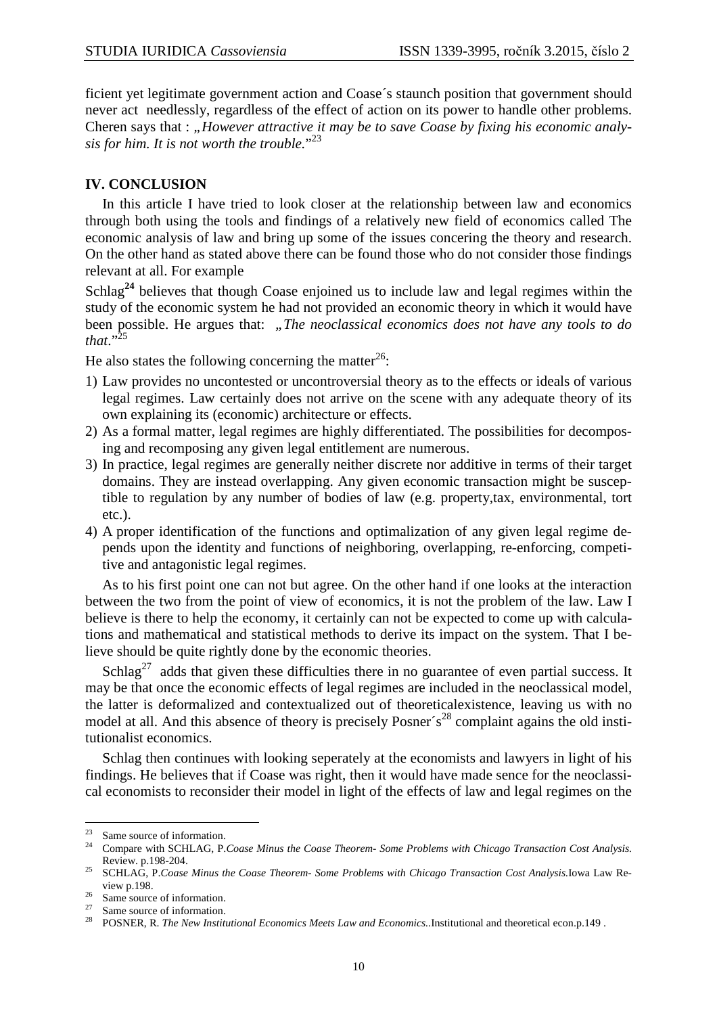ficient yet legitimate government action and Coase´s staunch position that government should never act needlessly, regardless of the effect of action on its power to handle other problems. Cheren says that : "*However attractive it may be to save Coase by fixing his economic analysis for him. It is not worth the trouble.*" 23

### **IV. CONCLUSION**

 In this article I have tried to look closer at the relationship between law and economics through both using the tools and findings of a relatively new field of economics called The economic analysis of law and bring up some of the issues concering the theory and research. On the other hand as stated above there can be found those who do not consider those findings relevant at all. For example

Schlag**<sup>24</sup>** believes that though Coase enjoined us to include law and legal regimes within the study of the economic system he had not provided an economic theory in which it would have been possible. He argues that: "The neoclassical economics does not have any tools to do *that*."<sup>25</sup>

He also states the following concerning the matter<sup>26</sup>:

- 1) Law provides no uncontested or uncontroversial theory as to the effects or ideals of various legal regimes. Law certainly does not arrive on the scene with any adequate theory of its own explaining its (economic) architecture or effects.
- 2) As a formal matter, legal regimes are highly differentiated. The possibilities for decomposing and recomposing any given legal entitlement are numerous.
- 3) In practice, legal regimes are generally neither discrete nor additive in terms of their target domains. They are instead overlapping. Any given economic transaction might be susceptible to regulation by any number of bodies of law (e.g. property,tax, environmental, tort etc.).
- 4) A proper identification of the functions and optimalization of any given legal regime depends upon the identity and functions of neighboring, overlapping, re-enforcing, competitive and antagonistic legal regimes.

 As to his first point one can not but agree. On the other hand if one looks at the interaction between the two from the point of view of economics, it is not the problem of the law. Law I believe is there to help the economy, it certainly can not be expected to come up with calculations and mathematical and statistical methods to derive its impact on the system. That I believe should be quite rightly done by the economic theories.

Schlag<sup>27</sup> adds that given these difficulties there in no guarantee of even partial success. It may be that once the economic effects of legal regimes are included in the neoclassical model, the latter is deformalized and contextualized out of theoreticalexistence, leaving us with no model at all. And this absence of theory is precisely Posner´s<sup>28</sup> complaint agains the old institutionalist economics.

 Schlag then continues with looking seperately at the economists and lawyers in light of his findings. He believes that if Coase was right, then it would have made sence for the neoclassical economists to reconsider their model in light of the effects of law and legal regimes on the

 $23$ <sup>23</sup> Same source of information.

<sup>24</sup> Compare with SCHLAG, P.*Coase Minus the Coase Theorem- Some Problems with Chicago Transaction Cost Analysis.* Review. p.198-204.

<sup>25</sup> SCHLAG, P.*Coase Minus the Coase Theorem- Some Problems with Chicago Transaction Cost Analysis.*Iowa Law Review p.198.

 $\frac{26}{27}$  Same source of information.

Same source of information.

<sup>28</sup> POSNER, R. *The New Institutional Economics Meets Law and Economics..*Institutional and theoretical econ.p.149 .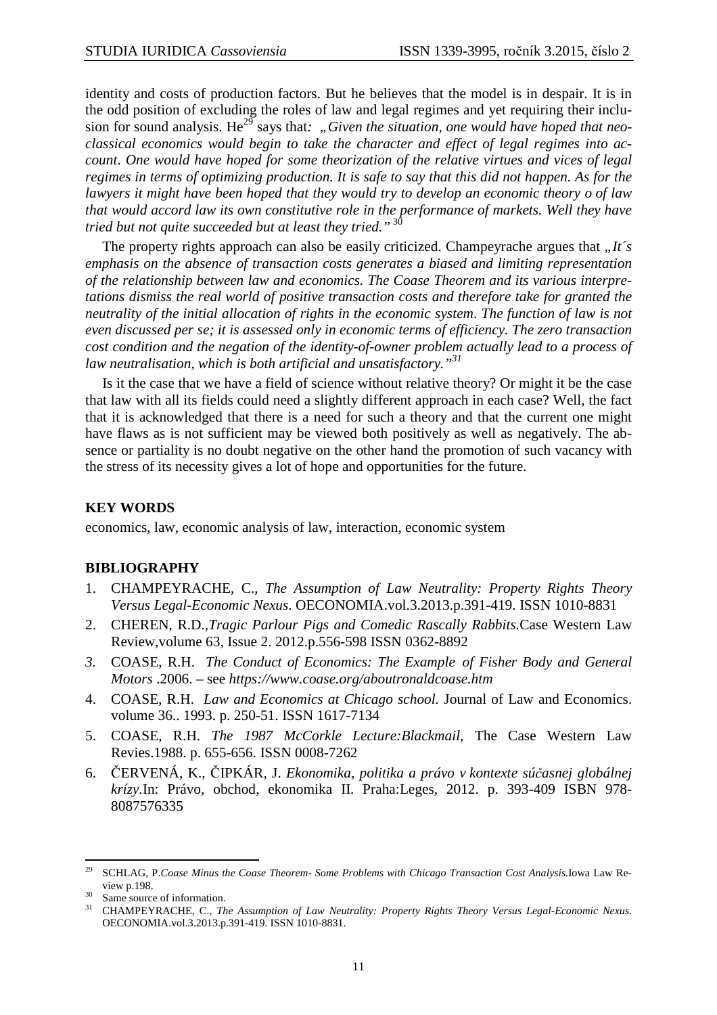identity and costs of production factors. But he believes that the model is in despair. It is in the odd position of excluding the roles of law and legal regimes and yet requiring their inclusion for sound analysis. He<sup>29</sup> says that: "Given the situation, one would have hoped that neo*classical economics would begin to take the character and effect of legal regimes into account*. *One would have hoped for some theorization of the relative virtues and vices of legal regimes in terms of optimizing production. It is safe to say that this did not happen. As for the lawyers it might have been hoped that they would try to develop an economic theory o of law that would accord law its own constitutive role in the performance of markets. Well they have tried but not quite succeeded but at least they tried."*<sup>30</sup>

The property rights approach can also be easily criticized. Champeyrache argues that *It*'s *emphasis on the absence of transaction costs generates a biased and limiting representation of the relationship between law and economics. The Coase Theorem and its various interpretations dismiss the real world of positive transaction costs and therefore take for granted the neutrality of the initial allocation of rights in the economic system*. *The function of law is not even discussed per se; it is assessed only in economic terms of efficiency. The zero transaction cost condition and the negation of the identity-of-owner problem actually lead to a process of law neutralisation, which is both artificial and unsatisfactory."<sup>31</sup>*

 Is it the case that we have a field of science without relative theory? Or might it be the case that law with all its fields could need a slightly different approach in each case? Well, the fact that it is acknowledged that there is a need for such a theory and that the current one might have flaws as is not sufficient may be viewed both positively as well as negatively. The absence or partiality is no doubt negative on the other hand the promotion of such vacancy with the stress of its necessity gives a lot of hope and opportunities for the future.

# **KEY WORDS**

economics, law, economic analysis of law, interaction, economic system

### **BIBLIOGRAPHY**

- 1. CHAMPEYRACHE, C., *The Assumption of Law Neutrality: Property Rights Theory Versus Legal-Economic Nexus*. OECONOMIA.vol.3.2013.p.391-419. ISSN 1010-8831
- 2. CHEREN, R.D.,*Tragic Parlour Pigs and Comedic Rascally Rabbits.*Case Western Law Review,volume 63, Issue 2. 2012.p.556-598 ISSN 0362-8892
- *3.* COASE, R.H. *The Conduct of Economics: The Example of Fisher Body and General Motors* .2006. – see *https://www.coase.org/aboutronaldcoase.htm*
- 4. COASE, R.H. *Law and Economics at Chicago school.* Journal of Law and Economics. volume 36.. 1993. p. 250-51. ISSN 1617-7134
- 5. COASE, R.H. *The 1987 McCorkle Lecture:Blackmail,* The Case Western Law Revies.1988. p. 655-656. ISSN 0008-7262
- 6. ČERVENÁ, K., ČIPKÁR, J. *Ekonomika, politika a právo v kontexte súčasnej globálnej krízy.*In: Právo, obchod, ekonomika II. Praha:Leges, 2012. p. 393-409 ISBN 978- 8087576335

<sup>29</sup> <sup>29</sup> SCHLAG, P.*Coase Minus the Coase Theorem- Some Problems with Chicago Transaction Cost Analysis.*Iowa Law Review p.198.

<sup>30</sup> Same source of information.

<sup>31</sup> CHAMPEYRACHE, C., *The Assumption of Law Neutrality: Property Rights Theory Versus Legal-Economic Nexus*. OECONOMIA.vol.3.2013.p.391-419. ISSN 1010-8831.